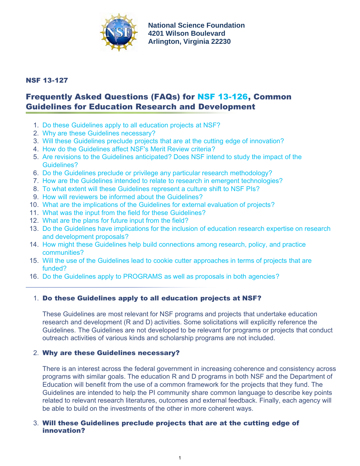

**National Science Foundation 4201 Wilson Boulevard Arlington, Virginia 22230**

# <span id="page-0-3"></span>NSF 13-127

# Frequently Asked Questions (FAQs) for [NSF 13-126,](http://www.nsf.gov/publications/pub_summ.jsp?ods_key=nsf13126) Common Guidelines for Education Research and Development

- 1. [Do these Guidelines apply to all education projects at NSF?](#page-0-0)
- 2. [Why are these Guidelines necessary?](#page-0-1)
- 3. [Will these Guidelines preclude projects that are at the cutting edge of innovation?](#page-0-2)
- 4. [How do the Guidelines affect NSF's Merit Review criteria?](#page-1-0)
- 5. [Are revisions to the Guidelines anticipated? Does NSF intend to study the impact of the](#page-1-1) [Guidelines?](#page-1-1)
- 6. [Do the Guidelines preclude or privilege any particular research methodology?](#page-1-2)
- 7. [How are the Guidelines intended to relate to research in emergent technologies?](#page-1-3)
- 8. [To what extent will these Guidelines represent a culture shift to NSF PIs?](#page-1-4)
- 9. [How will reviewers be informed about the Guidelines?](#page-2-0)
- 10. [What are the implications of the Guidelines for external evaluation of projects?](#page-0-3)
- 11. [What was the input from the field for these Guidelines?](#page-2-1)
- 12. [What are the plans for future input from the field?](#page-2-2)
- 13. [Do the Guidelines have implications for the inclusion of education research expertise on research](#page-2-3) [and development proposals?](#page-2-3)
- 14. [How might these Guidelines help build connections among research, policy, and practice](#page-2-4) [communities?](#page-2-4)
- 15. [Will the use of the Guidelines lead to cookie cutter approaches in terms of projects that are](#page-2-5) [funded?](#page-2-5)
- 16. [Do the Guidelines apply to PROGRAMS as well as proposals in both agencies?](#page-3-0)

# <span id="page-0-0"></span>1. Do these Guidelines apply to all education projects at NSF?

These Guidelines are most relevant for NSF programs and projects that undertake education research and development (R and D) activities. Some solicitations will explicitly reference the Guidelines. The Guidelines are not developed to be relevant for programs or projects that conduct outreach activities of various kinds and scholarship programs are not included.

## <span id="page-0-1"></span>2. Why are these Guidelines necessary?

There is an interest across the federal government in increasing coherence and consistency across programs with similar goals. The education R and D programs in both NSF and the Department of Education will benefit from the use of a common framework for the projects that they fund. The Guidelines are intended to help the PI community share common language to describe key points related to relevant research literatures, outcomes and external feedback. Finally, each agency will be able to build on the investments of the other in more coherent ways.

## <span id="page-0-2"></span>3. Will these Guidelines preclude projects that are at the cutting edge of innovation?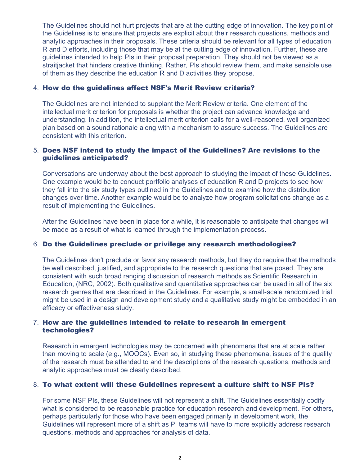The Guidelines should not hurt projects that are at the cutting edge of innovation. The key point of the Guidelines is to ensure that projects are explicit about their research questions, methods and analytic approaches in their proposals. These criteria should be relevant for all types of education R and D efforts, including those that may be at the cutting edge of innovation. Further, these are guidelines intended to help PIs in their proposal preparation. They should not be viewed as a straitjacket that hinders creative thinking. Rather, PIs should review them, and make sensible use of them as they describe the education R and D activities they propose.

#### <span id="page-1-0"></span>4. How do the guidelines affect NSF's Merit Review criteria?

The Guidelines are not intended to supplant the Merit Review criteria. One element of the intellectual merit criterion for proposals is whether the project can advance knowledge and understanding. In addition, the intellectual merit criterion calls for a well-reasoned, well organized plan based on a sound rationale along with a mechanism to assure success. The Guidelines are consistent with this criterion.

#### <span id="page-1-1"></span>5. Does NSF intend to study the impact of the Guidelines? Are revisions to the guidelines anticipated?

Conversations are underway about the best approach to studying the impact of these Guidelines. One example would be to conduct portfolio analyses of education R and D projects to see how they fall into the six study types outlined in the Guidelines and to examine how the distribution changes over time. Another example would be to analyze how program solicitations change as a result of implementing the Guidelines.

After the Guidelines have been in place for a while, it is reasonable to anticipate that changes will be made as a result of what is learned through the implementation process.

## <span id="page-1-2"></span>6. Do the Guidelines preclude or privilege any research methodologies?

The Guidelines don't preclude or favor any research methods, but they do require that the methods be well described, justified, and appropriate to the research questions that are posed. They are consistent with such broad ranging discussion of research methods as Scientific Research in Education, (NRC, 2002). Both qualitative and quantitative approaches can be used in all of the six research genres that are described in the Guidelines. For example, a small-scale randomized trial might be used in a design and development study and a qualitative study might be embedded in an efficacy or effectiveness study.

#### <span id="page-1-3"></span>7. How are the guidelines intended to relate to research in emergent technologies?

Research in emergent technologies may be concerned with phenomena that are at scale rather than moving to scale (e.g., MOOCs). Even so, in studying these phenomena, issues of the quality of the research must be attended to and the descriptions of the research questions, methods and analytic approaches must be clearly described.

#### <span id="page-1-4"></span>8. To what extent will these Guidelines represent a culture shift to NSF PIs?

For some NSF PIs, these Guidelines will not represent a shift. The Guidelines essentially codify what is considered to be reasonable practice for education research and development. For others, perhaps particularly for those who have been engaged primarily in development work, the Guidelines will represent more of a shift as PI teams will have to more explicitly address research questions, methods and approaches for analysis of data.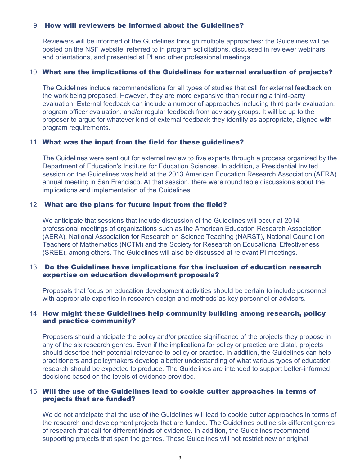#### <span id="page-2-0"></span>9. How will reviewers be informed about the Guidelines?

Reviewers will be informed of the Guidelines through multiple approaches: the Guidelines will be posted on the NSF website, referred to in program solicitations, discussed in reviewer webinars and orientations, and presented at PI and other professional meetings.

#### 10. What are the implications of the Guidelines for external evaluation of projects?

The Guidelines include recommendations for all types of studies that call for external feedback on the work being proposed. However, they are more expansive than requiring a third-party evaluation. External feedback can include a number of approaches including third party evaluation, program officer evaluation, and/or regular feedback from advisory groups. It will be up to the proposer to argue for whatever kind of external feedback they identify as appropriate, aligned with program requirements.

#### <span id="page-2-1"></span>11. What was the input from the field for these guidelines?

The Guidelines were sent out for external review to five experts through a process organized by the Department of Education's Institute for Education Sciences. In addition, a Presidential Invited session on the Guidelines was held at the 2013 American Education Research Association (AERA) annual meeting in San Francisco. At that session, there were round table discussions about the implications and implementation of the Guidelines.

#### <span id="page-2-2"></span>12. What are the plans for future input from the field?

We anticipate that sessions that include discussion of the Guidelines will occur at 2014 professional meetings of organizations such as the American Education Research Association (AERA), National Association for Research on Science Teaching (NARST), National Council on Teachers of Mathematics (NCTM) and the Society for Research on Educational Effectiveness (SREE), among others. The Guidelines will also be discussed at relevant PI meetings.

#### <span id="page-2-3"></span>13. Do the Guidelines have implications for the inclusion of education research expertise on education development proposals?

Proposals that focus on education development activities should be certain to include personnel with appropriate expertise in research design and methods"as key personnel or advisors.

#### <span id="page-2-4"></span>14. How might these Guidelines help community building among research, policy and practice community?

Proposers should anticipate the policy and/or practice significance of the projects they propose in any of the six research genres. Even if the implications for policy or practice are distal, projects should describe their potential relevance to policy or practice. In addition, the Guidelines can help practitioners and policymakers develop a better understanding of what various types of education research should be expected to produce. The Guidelines are intended to support better-informed decisions based on the levels of evidence provided.

#### <span id="page-2-5"></span>15. Will the use of the Guidelines lead to cookie cutter approaches in terms of projects that are funded?

We do not anticipate that the use of the Guidelines will lead to cookie cutter approaches in terms of the research and development projects that are funded. The Guidelines outline six different genres of research that call for different kinds of evidence. In addition, the Guidelines recommend supporting projects that span the genres. These Guidelines will not restrict new or original